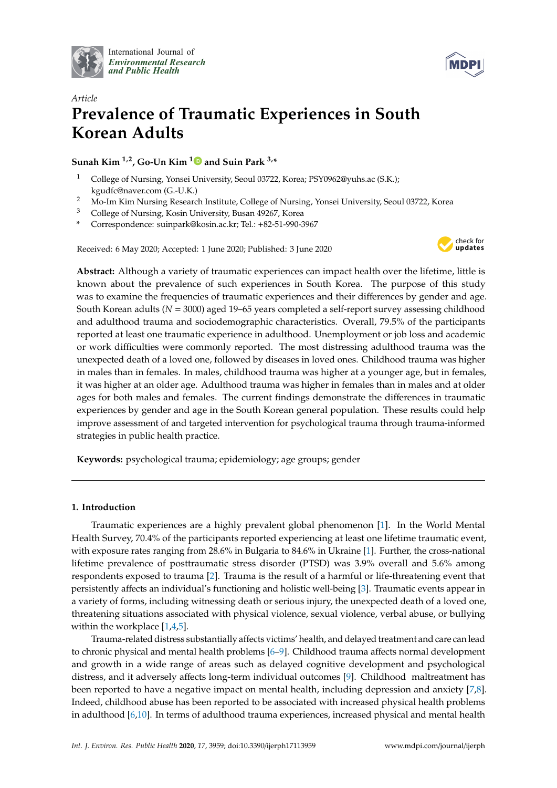

International Journal of *[Environmental Research](http://www.mdpi.com/journal/ijerph) and Public Health*



# *Article* **Prevalence of Traumatic Experiences in South Korean Adults**

**Sunah Kim**  $^{1,2}$  $^{1,2}$  $^{1,2}$ , Go-Un Kim  $^{1}$  and Suin Park  $^{3,*}$ 

- <sup>1</sup> College of Nursing, Yonsei University, Seoul 03722, Korea; PSY0962@yuhs.ac (S.K.); kgudfc@naver.com (G.-U.K.)
- <sup>2</sup> Mo-Im Kim Nursing Research Institute, College of Nursing, Yonsei University, Seoul 03722, Korea
- <sup>3</sup> College of Nursing, Kosin University, Busan 49267, Korea
- **\*** Correspondence: suinpark@kosin.ac.kr; Tel.: +82-51-990-3967

Received: 6 May 2020; Accepted: 1 June 2020; Published: 3 June 2020



**Abstract:** Although a variety of traumatic experiences can impact health over the lifetime, little is known about the prevalence of such experiences in South Korea. The purpose of this study was to examine the frequencies of traumatic experiences and their differences by gender and age. South Korean adults (*N* = 3000) aged 19–65 years completed a self-report survey assessing childhood and adulthood trauma and sociodemographic characteristics. Overall, 79.5% of the participants reported at least one traumatic experience in adulthood. Unemployment or job loss and academic or work difficulties were commonly reported. The most distressing adulthood trauma was the unexpected death of a loved one, followed by diseases in loved ones. Childhood trauma was higher in males than in females. In males, childhood trauma was higher at a younger age, but in females, it was higher at an older age. Adulthood trauma was higher in females than in males and at older ages for both males and females. The current findings demonstrate the differences in traumatic experiences by gender and age in the South Korean general population. These results could help improve assessment of and targeted intervention for psychological trauma through trauma-informed strategies in public health practice.

**Keywords:** psychological trauma; epidemiology; age groups; gender

# **1. Introduction**

Traumatic experiences are a highly prevalent global phenomenon [\[1\]](#page-10-0). In the World Mental Health Survey, 70.4% of the participants reported experiencing at least one lifetime traumatic event, with exposure rates ranging from 28.6% in Bulgaria to 84.6% in Ukraine [\[1\]](#page-10-0). Further, the cross-national lifetime prevalence of posttraumatic stress disorder (PTSD) was 3.9% overall and 5.6% among respondents exposed to trauma [\[2\]](#page-10-1). Trauma is the result of a harmful or life-threatening event that persistently affects an individual's functioning and holistic well-being [\[3\]](#page-10-2). Traumatic events appear in a variety of forms, including witnessing death or serious injury, the unexpected death of a loved one, threatening situations associated with physical violence, sexual violence, verbal abuse, or bullying within the workplace [\[1](#page-10-0)[,4](#page-10-3)[,5\]](#page-10-4).

Trauma-related distress substantially affects victims' health, and delayed treatment and care can lead to chronic physical and mental health problems [\[6–](#page-10-5)[9\]](#page-10-6). Childhood trauma affects normal development and growth in a wide range of areas such as delayed cognitive development and psychological distress, and it adversely affects long-term individual outcomes [\[9\]](#page-10-6). Childhood maltreatment has been reported to have a negative impact on mental health, including depression and anxiety [\[7,](#page-10-7)[8\]](#page-10-8). Indeed, childhood abuse has been reported to be associated with increased physical health problems in adulthood [\[6](#page-10-5)[,10\]](#page-10-9). In terms of adulthood trauma experiences, increased physical and mental health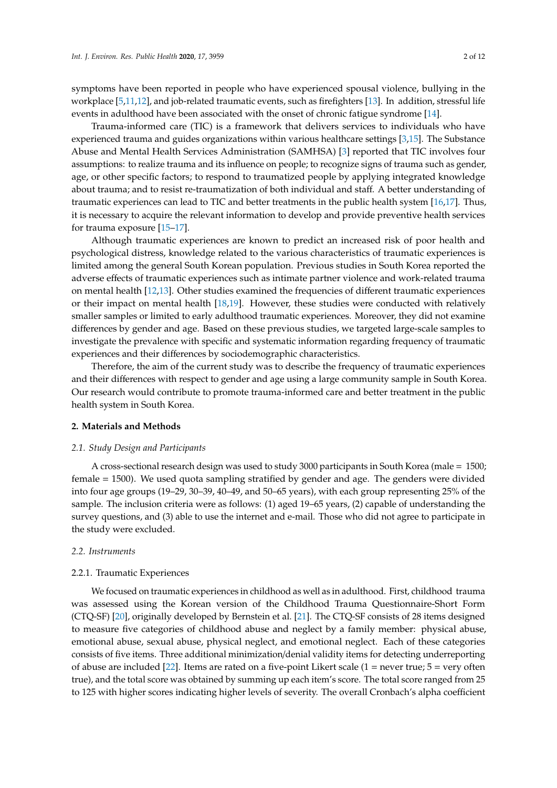symptoms have been reported in people who have experienced spousal violence, bullying in the workplace [\[5,](#page-10-4)[11,](#page-10-10)[12\]](#page-10-11), and job-related traumatic events, such as firefighters [\[13\]](#page-10-12). In addition, stressful life events in adulthood have been associated with the onset of chronic fatigue syndrome [\[14\]](#page-10-13).

Trauma-informed care (TIC) is a framework that delivers services to individuals who have experienced trauma and guides organizations within various healthcare settings [\[3,](#page-10-2)[15\]](#page-10-14). The Substance Abuse and Mental Health Services Administration (SAMHSA) [\[3\]](#page-10-2) reported that TIC involves four assumptions: to realize trauma and its influence on people; to recognize signs of trauma such as gender, age, or other specific factors; to respond to traumatized people by applying integrated knowledge about trauma; and to resist re-traumatization of both individual and staff. A better understanding of traumatic experiences can lead to TIC and better treatments in the public health system [\[16](#page-10-15)[,17\]](#page-10-16). Thus, it is necessary to acquire the relevant information to develop and provide preventive health services for trauma exposure [\[15](#page-10-14)[–17\]](#page-10-16).

Although traumatic experiences are known to predict an increased risk of poor health and psychological distress, knowledge related to the various characteristics of traumatic experiences is limited among the general South Korean population. Previous studies in South Korea reported the adverse effects of traumatic experiences such as intimate partner violence and work-related trauma on mental health [\[12,](#page-10-11)[13\]](#page-10-12). Other studies examined the frequencies of different traumatic experiences or their impact on mental health [\[18,](#page-10-17)[19\]](#page-10-18). However, these studies were conducted with relatively smaller samples or limited to early adulthood traumatic experiences. Moreover, they did not examine differences by gender and age. Based on these previous studies, we targeted large-scale samples to investigate the prevalence with specific and systematic information regarding frequency of traumatic experiences and their differences by sociodemographic characteristics.

Therefore, the aim of the current study was to describe the frequency of traumatic experiences and their differences with respect to gender and age using a large community sample in South Korea. Our research would contribute to promote trauma-informed care and better treatment in the public health system in South Korea.

# **2. Materials and Methods**

#### *2.1. Study Design and Participants*

A cross-sectional research design was used to study 3000 participants in South Korea (male = 1500; female = 1500). We used quota sampling stratified by gender and age. The genders were divided into four age groups (19–29, 30–39, 40–49, and 50–65 years), with each group representing 25% of the sample. The inclusion criteria were as follows: (1) aged 19–65 years, (2) capable of understanding the survey questions, and (3) able to use the internet and e-mail. Those who did not agree to participate in the study were excluded.

## *2.2. Instruments*

#### 2.2.1. Traumatic Experiences

We focused on traumatic experiences in childhood as well as in adulthood. First, childhood trauma was assessed using the Korean version of the Childhood Trauma Questionnaire-Short Form (CTQ-SF) [\[20\]](#page-10-19), originally developed by Bernstein et al. [\[21\]](#page-11-0). The CTQ-SF consists of 28 items designed to measure five categories of childhood abuse and neglect by a family member: physical abuse, emotional abuse, sexual abuse, physical neglect, and emotional neglect. Each of these categories consists of five items. Three additional minimization/denial validity items for detecting underreporting of abuse are included [\[22\]](#page-11-1). Items are rated on a five-point Likert scale (1 = never true;  $5 =$  very often true), and the total score was obtained by summing up each item's score. The total score ranged from 25 to 125 with higher scores indicating higher levels of severity. The overall Cronbach's alpha coefficient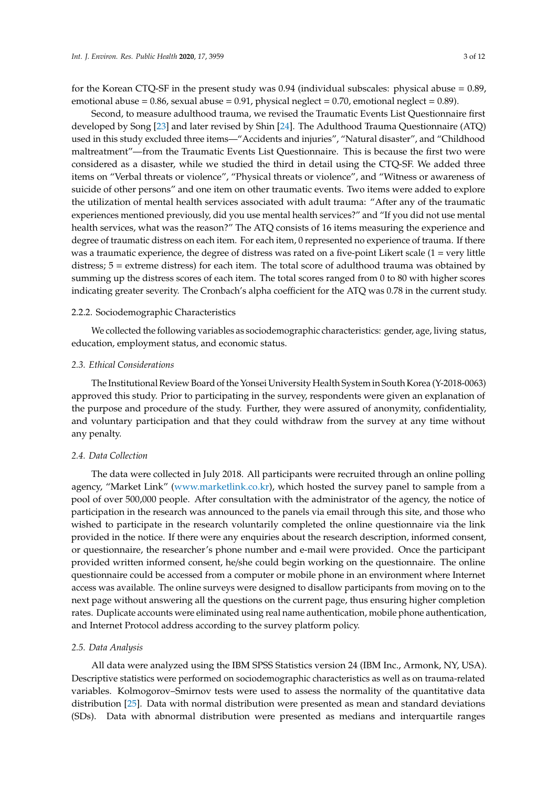for the Korean CTQ-SF in the present study was 0.94 (individual subscales: physical abuse = 0.89, emotional abuse =  $0.86$ , sexual abuse =  $0.91$ , physical neglect =  $0.70$ , emotional neglect =  $0.89$ ).

Second, to measure adulthood trauma, we revised the Traumatic Events List Questionnaire first developed by Song [\[23\]](#page-11-2) and later revised by Shin [\[24\]](#page-11-3). The Adulthood Trauma Questionnaire (ATQ) used in this study excluded three items—"Accidents and injuries", "Natural disaster", and "Childhood maltreatment"—from the Traumatic Events List Questionnaire. This is because the first two were considered as a disaster, while we studied the third in detail using the CTQ-SF. We added three items on "Verbal threats or violence", "Physical threats or violence", and "Witness or awareness of suicide of other persons" and one item on other traumatic events. Two items were added to explore the utilization of mental health services associated with adult trauma: "After any of the traumatic experiences mentioned previously, did you use mental health services?" and "If you did not use mental health services, what was the reason?" The ATQ consists of 16 items measuring the experience and degree of traumatic distress on each item. For each item, 0 represented no experience of trauma. If there was a traumatic experience, the degree of distress was rated on a five-point Likert scale (1 = very little distress; 5 = extreme distress) for each item. The total score of adulthood trauma was obtained by summing up the distress scores of each item. The total scores ranged from 0 to 80 with higher scores indicating greater severity. The Cronbach's alpha coefficient for the ATQ was 0.78 in the current study.

## 2.2.2. Sociodemographic Characteristics

We collected the following variables as sociodemographic characteristics: gender, age, living status, education, employment status, and economic status.

## *2.3. Ethical Considerations*

The Institutional Review Board of the Yonsei University Health System in South Korea (Y-2018-0063) approved this study. Prior to participating in the survey, respondents were given an explanation of the purpose and procedure of the study. Further, they were assured of anonymity, confidentiality, and voluntary participation and that they could withdraw from the survey at any time without any penalty.

#### *2.4. Data Collection*

The data were collected in July 2018. All participants were recruited through an online polling agency, "Market Link" [\(www.marketlink.co.kr\)](www.marketlink.co.kr), which hosted the survey panel to sample from a pool of over 500,000 people. After consultation with the administrator of the agency, the notice of participation in the research was announced to the panels via email through this site, and those who wished to participate in the research voluntarily completed the online questionnaire via the link provided in the notice. If there were any enquiries about the research description, informed consent, or questionnaire, the researcher's phone number and e-mail were provided. Once the participant provided written informed consent, he/she could begin working on the questionnaire. The online questionnaire could be accessed from a computer or mobile phone in an environment where Internet access was available. The online surveys were designed to disallow participants from moving on to the next page without answering all the questions on the current page, thus ensuring higher completion rates. Duplicate accounts were eliminated using real name authentication, mobile phone authentication, and Internet Protocol address according to the survey platform policy.

#### *2.5. Data Analysis*

All data were analyzed using the IBM SPSS Statistics version 24 (IBM Inc., Armonk, NY, USA). Descriptive statistics were performed on sociodemographic characteristics as well as on trauma-related variables. Kolmogorov–Smirnov tests were used to assess the normality of the quantitative data distribution [\[25\]](#page-11-4). Data with normal distribution were presented as mean and standard deviations (SDs). Data with abnormal distribution were presented as medians and interquartile ranges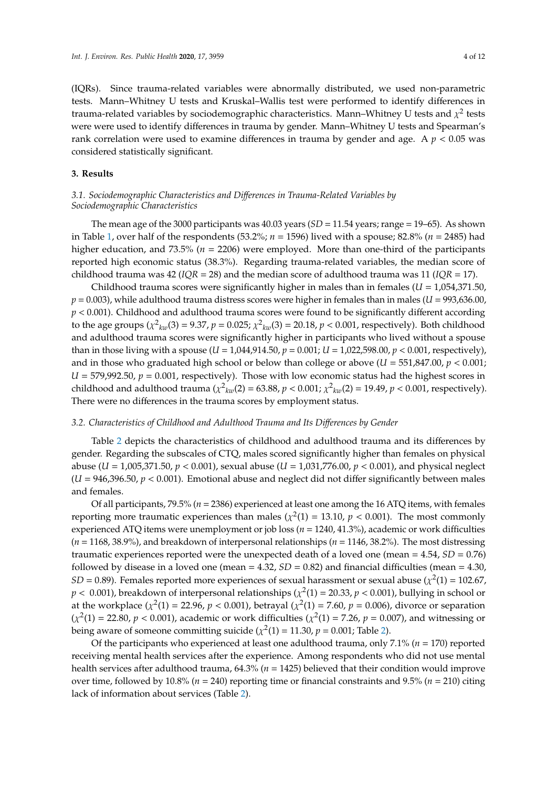(IQRs). Since trauma-related variables were abnormally distributed, we used non-parametric tests. Mann–Whitney U tests and Kruskal–Wallis test were performed to identify differences in trauma-related variables by sociodemographic characteristics. Mann–Whitney U tests and  $\chi^2$  tests were were used to identify differences in trauma by gender. Mann–Whitney U tests and Spearman's rank correlation were used to examine differences in trauma by gender and age. A *p* < 0.05 was considered statistically significant.

## **3. Results**

# *3.1. Sociodemographic Characteristics and Di*ff*erences in Trauma-Related Variables by Sociodemographic Characteristics*

The mean age of the 3000 participants was 40.03 years (*SD* = 11.54 years; range = 19–65). As shown in Table [1,](#page-4-0) over half of the respondents (53.2%; *n* = 1596) lived with a spouse; 82.8% (*n* = 2485) had higher education, and 73.5% (*n* = 2206) were employed. More than one-third of the participants reported high economic status (38.3%). Regarding trauma-related variables, the median score of childhood trauma was 42 (*IQR* = 28) and the median score of adulthood trauma was 11 (*IQR* = 17).

Childhood trauma scores were significantly higher in males than in females (*U* = 1,054,371.50,  $p = 0.003$ ), while adulthood trauma distress scores were higher in females than in males ( $U = 993,636.00$ , *p* < 0.001). Childhood and adulthood trauma scores were found to be significantly different according to the age groups ( $\chi^2_{kw}(3) = 9.37$ ,  $p = 0.025$ ;  $\chi^2_{kw}(3) = 20.18$ ,  $p < 0.001$ , respectively). Both childhood and adulthood trauma scores were significantly higher in participants who lived without a spouse than in those living with a spouse ( $U = 1,044,914.50$ ,  $p = 0.001$ ;  $U = 1,022,598.00$ ,  $p < 0.001$ , respectively), and in those who graduated high school or below than college or above  $(U = 551,847.00, p < 0.001;$  $U = 579,992.50, p = 0.001$ , respectively). Those with low economic status had the highest scores in childhood and adulthood trauma ( $\chi^2_{kw}(2) = 63.88$ ,  $p < 0.001$ ;  $\chi^2_{kw}(2) = 19.49$ ,  $p < 0.001$ , respectively). There were no differences in the trauma scores by employment status.

## *3.2. Characteristics of Childhood and Adulthood Trauma and Its Di*ff*erences by Gender*

Table [2](#page-6-0) depicts the characteristics of childhood and adulthood trauma and its differences by gender. Regarding the subscales of CTQ, males scored significantly higher than females on physical abuse (*U* = 1,005,371.50, *p* < 0.001), sexual abuse (*U* = 1,031,776.00, *p* < 0.001), and physical neglect  $(U = 946,396.50, p < 0.001)$ . Emotional abuse and neglect did not differ significantly between males and females.

Of all participants, 79.5% (*n* = 2386) experienced at least one among the 16 ATQ items, with females reporting more traumatic experiences than males ( $\chi^2(1) = 13.10$ ,  $p < 0.001$ ). The most commonly experienced ATQ items were unemployment or job loss (*n* = 1240, 41.3%), academic or work difficulties (*n* = 1168, 38.9%), and breakdown of interpersonal relationships (*n* = 1146, 38.2%). The most distressing traumatic experiences reported were the unexpected death of a loved one (mean = 4.54, *SD* = 0.76) followed by disease in a loved one (mean  $=$  4.32, *SD*  $=$  0.82) and financial difficulties (mean  $=$  4.30,  $SD = 0.89$ ). Females reported more experiences of sexual harassment or sexual abuse ( $\chi^2(1) = 102.67$ ,  $p < 0.001$ ), breakdown of interpersonal relationships ( $\chi^2(1)$  = 20.33,  $p < 0.001$ ), bullying in school or at the workplace ( $\chi^2(1) = 22.96$ ,  $p < 0.001$ ), betrayal ( $\chi^2(1) = 7.60$ ,  $p = 0.006$ ), divorce or separation  $(\chi^2(1) = 22.80, p < 0.001)$ , academic or work difficulties  $(\chi^2(1) = 7.26, p = 0.007)$ , and witnessing or being aware of someone committing suicide ( $\chi^2(1) = 11.30$ ,  $p = 0.001$ ; Table [2\)](#page-6-0).

Of the participants who experienced at least one adulthood trauma, only 7.1% (*n* = 170) reported receiving mental health services after the experience. Among respondents who did not use mental health services after adulthood trauma, 64.3% (*n* = 1425) believed that their condition would improve over time, followed by 10.8% ( $n = 240$ ) reporting time or financial constraints and 9.5% ( $n = 210$ ) citing lack of information about services (Table [2\)](#page-6-0).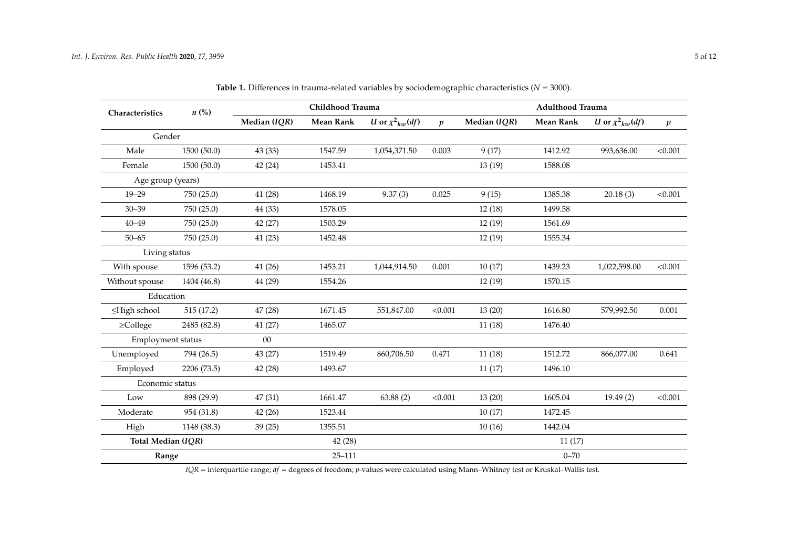| Characteristics    | $n\ (\%)$   |              | Childhood Trauma |                        | <b>Adulthood Trauma</b> |              |                  |                          |                  |
|--------------------|-------------|--------------|------------------|------------------------|-------------------------|--------------|------------------|--------------------------|------------------|
|                    |             | Median (IQR) | <b>Mean Rank</b> | U or $\chi^2_{kw}(df)$ | $\boldsymbol{p}$        | Median (IQR) | <b>Mean Rank</b> | U or $\chi^2{}_{kw}(df)$ | $\boldsymbol{p}$ |
| Gender             |             |              |                  |                        |                         |              |                  |                          |                  |
| Male               | 1500(50.0)  | 43 (33)      | 1547.59          | 1,054,371.50           | 0.003                   | 9(17)        | 1412.92          | 993,636.00               | < 0.001          |
| Female             | 1500 (50.0) | 42 (24)      | 1453.41          |                        |                         | 13(19)       | 1588.08          |                          |                  |
| Age group (years)  |             |              |                  |                        |                         |              |                  |                          |                  |
| $19 - 29$          | 750 (25.0)  | 41 (28)      | 1468.19          | 9.37(3)                | 0.025                   | 9(15)        | 1385.38          | 20.18(3)                 | < 0.001          |
| $30 - 39$          | 750 (25.0)  | 44 (33)      | 1578.05          |                        |                         | 12(18)       | 1499.58          |                          |                  |
| $40 - 49$          | 750 (25.0)  | 42 (27)      | 1503.29          |                        |                         | 12(19)       | 1561.69          |                          |                  |
| $50 - 65$          | 750 (25.0)  | 41 (23)      | 1452.48          |                        |                         | 12(19)       | 1555.34          |                          |                  |
| Living status      |             |              |                  |                        |                         |              |                  |                          |                  |
| With spouse        | 1596 (53.2) | 41 (26)      | 1453.21          | 1,044,914.50           | 0.001                   | 10(17)       | 1439.23          | 1,022,598.00             | < 0.001          |
| Without spouse     | 1404 (46.8) | 44 (29)      | 1554.26          |                        |                         | 12(19)       | 1570.15          |                          |                  |
| Education          |             |              |                  |                        |                         |              |                  |                          |                  |
| ≤High school       | 515(17.2)   | 47 (28)      | 1671.45          | 551,847.00             | < 0.001                 | 13(20)       | 1616.80          | 579,992.50               | 0.001            |
| $\geq$ College     | 2485 (82.8) | 41(27)       | 1465.07          |                        |                         | 11(18)       | 1476.40          |                          |                  |
| Employment status  |             | 00           |                  |                        |                         |              |                  |                          |                  |
| Unemployed         | 794 (26.5)  | 43 (27)      | 1519.49          | 860,706.50             | 0.471                   | 11(18)       | 1512.72          | 866,077.00               | 0.641            |
| Employed           | 2206 (73.5) | 42 (28)      | 1493.67          |                        |                         | 11(17)       | 1496.10          |                          |                  |
| Economic status    |             |              |                  |                        |                         |              |                  |                          |                  |
| Low                | 898 (29.9)  | 47 (31)      | 1661.47          | 63.88(2)               | < 0.001                 | 13(20)       | 1605.04          | 19.49(2)                 | < 0.001          |
| Moderate           | 954 (31.8)  | 42(26)       | 1523.44          |                        |                         | 10(17)       | 1472.45          |                          |                  |
| High               | 1148 (38.3) | 39(25)       | 1355.51          |                        |                         | 10(16)       | 1442.04          |                          |                  |
| Total Median (IQR) |             |              | 42(28)           |                        |                         |              | 11(17)           |                          |                  |
| Range              |             |              | $25 - 111$       |                        |                         |              | $0 - 70$         |                          |                  |

**Table 1.** Differences in trauma-related variables by sociodemographic characteristics ( $N = 3000$ ).

<span id="page-4-0"></span>*IQR* = interquartile range; *df* = degrees of freedom; *p*-values were calculated using Mann–Whitney test or Kruskal–Wallis test.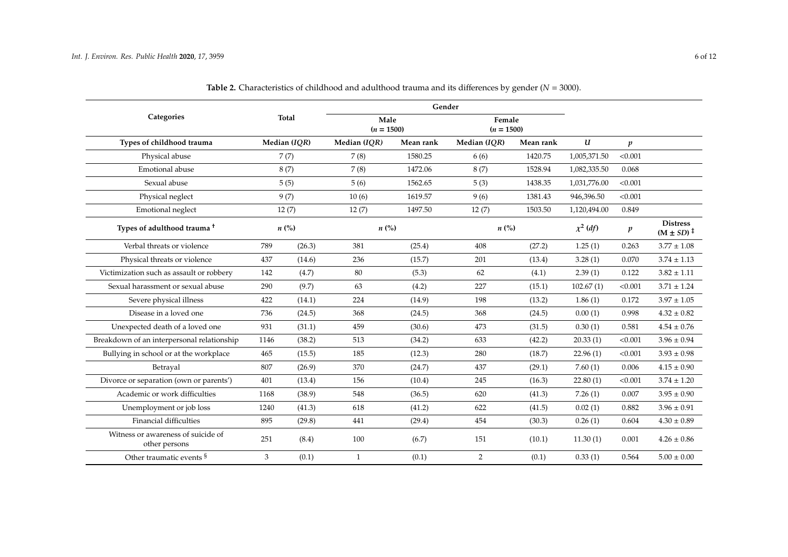| Categories                                          | <b>Total</b>       |        | Male<br>$(n = 1500)$ |           | Female<br>$(n = 1500)$ |           |               |                  |                                            |
|-----------------------------------------------------|--------------------|--------|----------------------|-----------|------------------------|-----------|---------------|------------------|--------------------------------------------|
| Types of childhood trauma                           | Median (IQR)       |        | Median (IQR)         | Mean rank | Median (IQR)           | Mean rank | $\mathbf{u}$  | $\boldsymbol{p}$ |                                            |
| Physical abuse                                      | 7(7)               |        | 7(8)                 | 1580.25   | 6(6)                   | 1420.75   | 1,005,371.50  | < 0.001          |                                            |
| Emotional abuse                                     | 8(7)               |        | 7(8)                 | 1472.06   | 8(7)                   | 1528.94   | 1,082,335.50  | 0.068            |                                            |
| Sexual abuse                                        | 5(5)               |        | 5(6)                 | 1562.65   | 5(3)                   | 1438.35   | 1,031,776.00  | < 0.001          |                                            |
| Physical neglect                                    | 9(7)               |        | 10(6)                | 1619.57   | 9(6)                   | 1381.43   | 946,396.50    | < 0.001          |                                            |
| Emotional neglect                                   | 12(7)              |        | 12(7)                | 1497.50   | 12(7)                  | 1503.50   | 1,120,494.00  | 0.849            |                                            |
| Types of adulthood trauma <sup>+</sup>              | $n\left(\%\right)$ |        | $n\left(\%\right)$   |           | $n\left(\%\right)$     |           | $\chi^2$ (df) | $\boldsymbol{p}$ | <b>Distress</b><br>$(M \pm SD)^{\ddagger}$ |
| Verbal threats or violence                          | 789                | (26.3) | 381                  | (25.4)    | 408                    | (27.2)    | 1.25(1)       | 0.263            | $3.77 \pm 1.08$                            |
| Physical threats or violence                        | 437                | (14.6) | 236                  | (15.7)    | 201                    | (13.4)    | 3.28(1)       | 0.070            | $3.74 \pm 1.13$                            |
| Victimization such as assault or robbery            | 142                | (4.7)  | 80                   | (5.3)     | 62                     | (4.1)     | 2.39(1)       | 0.122            | $3.82 \pm 1.11$                            |
| Sexual harassment or sexual abuse                   | 290                | (9.7)  | 63                   | (4.2)     | 227                    | (15.1)    | 102.67(1)     | < 0.001          | $3.71 \pm 1.24$                            |
| Severe physical illness                             | 422                | (14.1) | 224                  | (14.9)    | 198                    | (13.2)    | 1.86(1)       | 0.172            | $3.97 \pm 1.05$                            |
| Disease in a loved one                              | 736                | (24.5) | 368                  | (24.5)    | 368                    | (24.5)    | 0.00(1)       | 0.998            | $4.32 \pm 0.82$                            |
| Unexpected death of a loved one                     | 931                | (31.1) | 459                  | (30.6)    | 473                    | (31.5)    | 0.30(1)       | 0.581            | $4.54 \pm 0.76$                            |
| Breakdown of an interpersonal relationship          | 1146               | (38.2) | 513                  | (34.2)    | 633                    | (42.2)    | 20.33(1)      | < 0.001          | $3.96 \pm 0.94$                            |
| Bullying in school or at the workplace              | 465                | (15.5) | 185                  | (12.3)    | 280                    | (18.7)    | 22.96(1)      | < 0.001          | $3.93 \pm 0.98$                            |
| Betraval                                            | 807                | (26.9) | 370                  | (24.7)    | 437                    | (29.1)    | 7.60(1)       | 0.006            | $4.15 \pm 0.90$                            |
| Divorce or separation (own or parents')             | 401                | (13.4) | 156                  | (10.4)    | 245                    | (16.3)    | 22.80(1)      | < 0.001          | $3.74\pm1.20$                              |
| Academic or work difficulties                       | 1168               | (38.9) | 548                  | (36.5)    | 620                    | (41.3)    | 7.26(1)       | 0.007            | $3.95 \pm 0.90$                            |
| Unemployment or job loss                            | 1240               | (41.3) | 618                  | (41.2)    | 622                    | (41.5)    | 0.02(1)       | 0.882            | $3.96 \pm 0.91$                            |
| <b>Financial difficulties</b>                       | 895                | (29.8) | 441                  | (29.4)    | 454                    | (30.3)    | 0.26(1)       | 0.604            | $4.30 \pm 0.89$                            |
| Witness or awareness of suicide of<br>other persons | 251                | (8.4)  | 100                  | (6.7)     | 151                    | (10.1)    | 11.30(1)      | 0.001            | $4.26 \pm 0.86$                            |
| Other traumatic events §                            | 3                  | (0.1)  | $\mathbf{1}$         | (0.1)     | $\overline{2}$         | (0.1)     | 0.33(1)       | 0.564            | $5.00 \pm 0.00$                            |

**Table 2.** Characteristics of childhood and adulthood trauma and its differences by gender (*N* = 3000).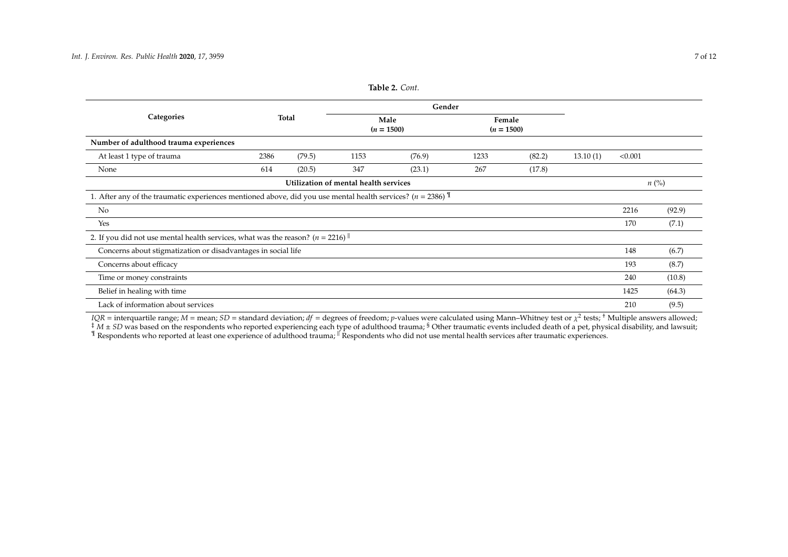|                                                                                                             |      |        |                                       | $1001C - 1001U$      |      |                        |          |         |                    |
|-------------------------------------------------------------------------------------------------------------|------|--------|---------------------------------------|----------------------|------|------------------------|----------|---------|--------------------|
|                                                                                                             |      | Gender |                                       |                      |      |                        |          |         |                    |
| Categories                                                                                                  |      | Total  |                                       | Male<br>$(n = 1500)$ |      | Female<br>$(n = 1500)$ |          |         |                    |
| Number of adulthood trauma experiences                                                                      |      |        |                                       |                      |      |                        |          |         |                    |
| At least 1 type of trauma                                                                                   | 2386 | (79.5) | 1153                                  | (76.9)               | 1233 | (82.2)                 | 13.10(1) | < 0.001 |                    |
| None                                                                                                        | 614  | (20.5) | 347                                   | (23.1)               | 267  | (17.8)                 |          |         |                    |
|                                                                                                             |      |        | Utilization of mental health services |                      |      |                        |          |         | $n\left(\%\right)$ |
| 1. After any of the traumatic experiences mentioned above, did you use mental health services? $(n = 2386)$ |      |        |                                       |                      |      |                        |          |         |                    |
| No                                                                                                          |      |        |                                       |                      |      |                        |          | 2216    | (92.9)             |
| Yes                                                                                                         |      |        |                                       |                      |      |                        |          | 170     | (7.1)              |
| 2. If you did not use mental health services, what was the reason? ( $n = 2216$ )                           |      |        |                                       |                      |      |                        |          |         |                    |
| Concerns about stigmatization or disadvantages in social life                                               |      |        |                                       |                      |      |                        | 148      | (6.7)   |                    |
| Concerns about efficacy                                                                                     |      |        |                                       |                      |      |                        |          | 193     | (8.7)              |
| Time or money constraints                                                                                   |      |        |                                       |                      |      |                        |          | 240     | (10.8)             |
| Belief in healing with time                                                                                 |      |        |                                       |                      |      |                        |          | 1425    | (64.3)             |
| Lack of information about services                                                                          |      |        |                                       |                      |      |                        |          | 210     | (9.5)              |

**Table 2.** *Cont.*

<span id="page-6-0"></span>*IQR* = interquartile range; *M* = mean; *SD* = standard deviation; *df* = degrees of freedom; *p*-values were calculated using Mann–Whitney test or  $\chi^2$  tests; <sup>†</sup> Multiple answers allowed;  $\ddot{A}$   $\dot{M}$   $\pm$  *SD* was based on the respondents who reported experiencing each type of adulthood trauma; <sup>§</sup> Other traumatic events included death of a pet, physical disability, and lawsuit;  $\,{}^{\P}$  Respondents who reported at least one experience of adulthood trauma;  ${}^{\P}$  Respondents who did not use mental health services after traumatic experiences.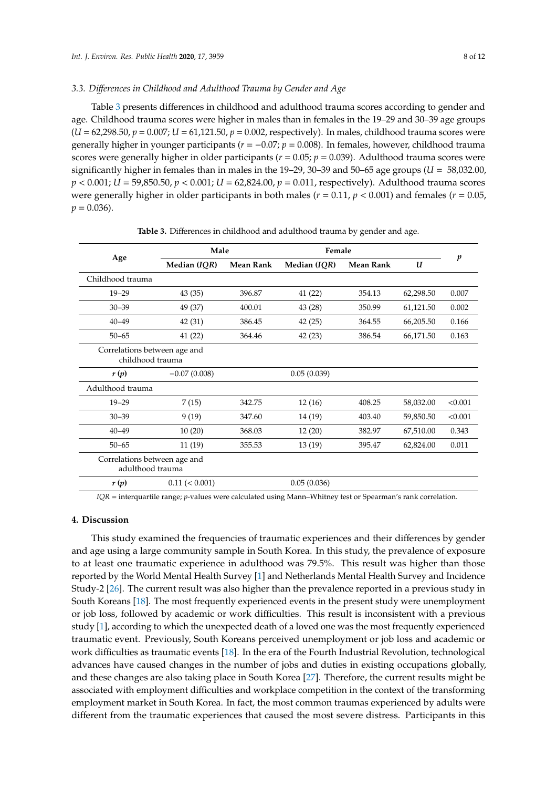## *3.3. Di*ff*erences in Childhood and Adulthood Trauma by Gender and Age*

Table [3](#page-7-0) presents differences in childhood and adulthood trauma scores according to gender and age. Childhood trauma scores were higher in males than in females in the 19–29 and 30–39 age groups (*U* = 62,298.50, *p* = 0.007; *U* = 61,121.50, *p* = 0.002, respectively). In males, childhood trauma scores were generally higher in younger participants (*r* = −0.07; *p* = 0.008). In females, however, childhood trauma scores were generally higher in older participants (*r* = 0.05; *p* = 0.039). Adulthood trauma scores were significantly higher in females than in males in the  $19-29$ ,  $30-39$  and  $50-65$  age groups ( $U = 58,032.00$ , *p* < 0.001; *U* = 59,850.50, *p* < 0.001; *U* = 62,824.00, *p* = 0.011, respectively). Adulthood trauma scores were generally higher in older participants in both males (*r* = 0.11, *p* < 0.001) and females (*r* = 0.05,  $p = 0.036$ .

<span id="page-7-0"></span>

|                                                  | Male                             |        | Female       |                  | p         |         |  |
|--------------------------------------------------|----------------------------------|--------|--------------|------------------|-----------|---------|--|
| Age                                              | Median (IQR)<br><b>Mean Rank</b> |        | Median (IQR) | <b>Mean Rank</b> | U         |         |  |
| Childhood trauma                                 |                                  |        |              |                  |           |         |  |
| $19 - 29$                                        | 43 (35)                          | 396.87 | 41 (22)      | 354.13           | 62,298.50 | 0.007   |  |
| $30 - 39$                                        | 49 (37)                          | 400.01 | 43 (28)      | 350.99           | 61,121.50 | 0.002   |  |
| $40 - 49$                                        | 42 (31)                          | 386.45 | 42(25)       | 364.55           | 66,205.50 | 0.166   |  |
| $50 - 65$                                        | 41 (22)                          | 364.46 | 42(23)       | 386.54           | 66,171.50 | 0.163   |  |
| Correlations between age and<br>childhood trauma |                                  |        |              |                  |           |         |  |
| r(p)                                             | $-0.07(0.008)$                   |        | 0.05(0.039)  |                  |           |         |  |
| Adulthood trauma                                 |                                  |        |              |                  |           |         |  |
| $19 - 29$                                        | 7(15)                            | 342.75 | 12(16)       | 408.25           | 58,032.00 | < 0.001 |  |
| $30 - 39$                                        | 9(19)                            | 347.60 | 14 (19)      | 403.40           | 59,850.50 | < 0.001 |  |
| $40 - 49$                                        | 10(20)                           | 368.03 | 12(20)       | 382.97           | 67,510.00 | 0.343   |  |
| $50 - 65$                                        | 11 (19)                          | 355.53 | 13 (19)      | 395.47           | 62,824.00 | 0.011   |  |
| Correlations between age and<br>adulthood trauma |                                  |        |              |                  |           |         |  |
| r(p)                                             | $0.11 \leq 0.001$                |        | 0.05(0.036)  |                  |           |         |  |

**Table 3.** Differences in childhood and adulthood trauma by gender and age.

*IQR* = interquartile range; *p*-values were calculated using Mann–Whitney test or Spearman's rank correlation.

## **4. Discussion**

This study examined the frequencies of traumatic experiences and their differences by gender and age using a large community sample in South Korea. In this study, the prevalence of exposure to at least one traumatic experience in adulthood was 79.5%. This result was higher than those reported by the World Mental Health Survey [\[1\]](#page-10-0) and Netherlands Mental Health Survey and Incidence Study-2 [\[26\]](#page-11-5). The current result was also higher than the prevalence reported in a previous study in South Koreans [\[18\]](#page-10-17). The most frequently experienced events in the present study were unemployment or job loss, followed by academic or work difficulties. This result is inconsistent with a previous study [\[1\]](#page-10-0), according to which the unexpected death of a loved one was the most frequently experienced traumatic event. Previously, South Koreans perceived unemployment or job loss and academic or work difficulties as traumatic events [\[18\]](#page-10-17). In the era of the Fourth Industrial Revolution, technological advances have caused changes in the number of jobs and duties in existing occupations globally, and these changes are also taking place in South Korea [\[27\]](#page-11-6). Therefore, the current results might be associated with employment difficulties and workplace competition in the context of the transforming employment market in South Korea. In fact, the most common traumas experienced by adults were different from the traumatic experiences that caused the most severe distress. Participants in this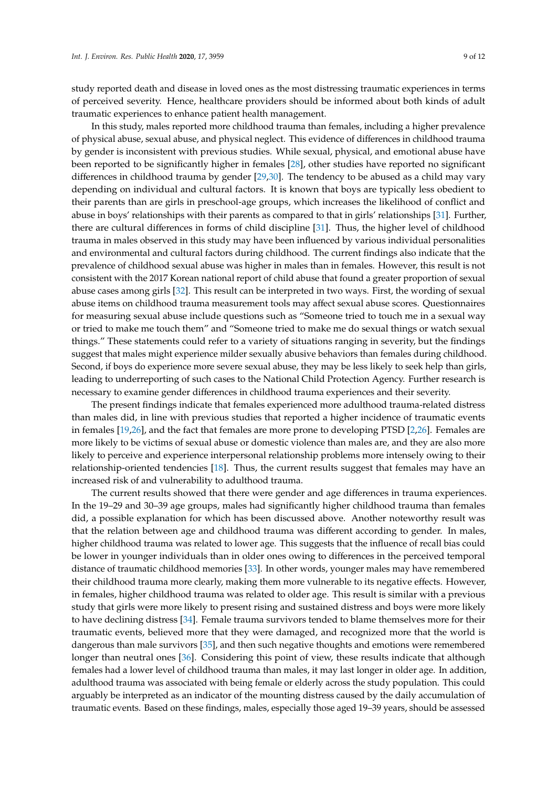study reported death and disease in loved ones as the most distressing traumatic experiences in terms of perceived severity. Hence, healthcare providers should be informed about both kinds of adult traumatic experiences to enhance patient health management.

In this study, males reported more childhood trauma than females, including a higher prevalence of physical abuse, sexual abuse, and physical neglect. This evidence of differences in childhood trauma by gender is inconsistent with previous studies. While sexual, physical, and emotional abuse have been reported to be significantly higher in females [\[28\]](#page-11-7), other studies have reported no significant differences in childhood trauma by gender [\[29](#page-11-8)[,30\]](#page-11-9). The tendency to be abused as a child may vary depending on individual and cultural factors. It is known that boys are typically less obedient to their parents than are girls in preschool-age groups, which increases the likelihood of conflict and abuse in boys' relationships with their parents as compared to that in girls' relationships [\[31\]](#page-11-10). Further, there are cultural differences in forms of child discipline [\[31\]](#page-11-10). Thus, the higher level of childhood trauma in males observed in this study may have been influenced by various individual personalities and environmental and cultural factors during childhood. The current findings also indicate that the prevalence of childhood sexual abuse was higher in males than in females. However, this result is not consistent with the 2017 Korean national report of child abuse that found a greater proportion of sexual abuse cases among girls [\[32\]](#page-11-11). This result can be interpreted in two ways. First, the wording of sexual abuse items on childhood trauma measurement tools may affect sexual abuse scores. Questionnaires for measuring sexual abuse include questions such as "Someone tried to touch me in a sexual way or tried to make me touch them" and "Someone tried to make me do sexual things or watch sexual things." These statements could refer to a variety of situations ranging in severity, but the findings suggest that males might experience milder sexually abusive behaviors than females during childhood. Second, if boys do experience more severe sexual abuse, they may be less likely to seek help than girls, leading to underreporting of such cases to the National Child Protection Agency. Further research is necessary to examine gender differences in childhood trauma experiences and their severity.

The present findings indicate that females experienced more adulthood trauma-related distress than males did, in line with previous studies that reported a higher incidence of traumatic events in females [\[19](#page-10-18)[,26\]](#page-11-5), and the fact that females are more prone to developing PTSD [\[2,](#page-10-1)[26\]](#page-11-5). Females are more likely to be victims of sexual abuse or domestic violence than males are, and they are also more likely to perceive and experience interpersonal relationship problems more intensely owing to their relationship-oriented tendencies [\[18\]](#page-10-17). Thus, the current results suggest that females may have an increased risk of and vulnerability to adulthood trauma.

The current results showed that there were gender and age differences in trauma experiences. In the 19–29 and 30–39 age groups, males had significantly higher childhood trauma than females did, a possible explanation for which has been discussed above. Another noteworthy result was that the relation between age and childhood trauma was different according to gender. In males, higher childhood trauma was related to lower age. This suggests that the influence of recall bias could be lower in younger individuals than in older ones owing to differences in the perceived temporal distance of traumatic childhood memories [\[33\]](#page-11-12). In other words, younger males may have remembered their childhood trauma more clearly, making them more vulnerable to its negative effects. However, in females, higher childhood trauma was related to older age. This result is similar with a previous study that girls were more likely to present rising and sustained distress and boys were more likely to have declining distress [\[34\]](#page-11-13). Female trauma survivors tended to blame themselves more for their traumatic events, believed more that they were damaged, and recognized more that the world is dangerous than male survivors [\[35\]](#page-11-14), and then such negative thoughts and emotions were remembered longer than neutral ones [\[36\]](#page-11-15). Considering this point of view, these results indicate that although females had a lower level of childhood trauma than males, it may last longer in older age. In addition, adulthood trauma was associated with being female or elderly across the study population. This could arguably be interpreted as an indicator of the mounting distress caused by the daily accumulation of traumatic events. Based on these findings, males, especially those aged 19–39 years, should be assessed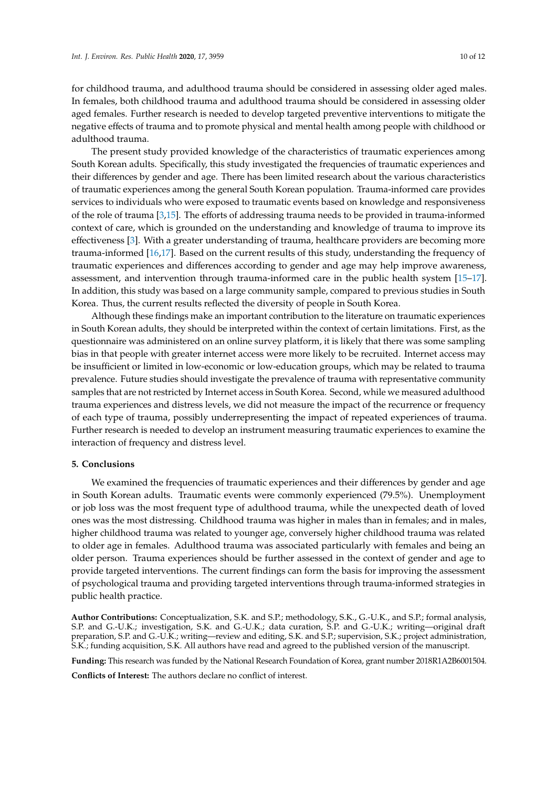for childhood trauma, and adulthood trauma should be considered in assessing older aged males. In females, both childhood trauma and adulthood trauma should be considered in assessing older aged females. Further research is needed to develop targeted preventive interventions to mitigate the negative effects of trauma and to promote physical and mental health among people with childhood or adulthood trauma.

The present study provided knowledge of the characteristics of traumatic experiences among South Korean adults. Specifically, this study investigated the frequencies of traumatic experiences and their differences by gender and age. There has been limited research about the various characteristics of traumatic experiences among the general South Korean population. Trauma-informed care provides services to individuals who were exposed to traumatic events based on knowledge and responsiveness of the role of trauma [\[3](#page-10-2)[,15\]](#page-10-14). The efforts of addressing trauma needs to be provided in trauma-informed context of care, which is grounded on the understanding and knowledge of trauma to improve its effectiveness [\[3\]](#page-10-2). With a greater understanding of trauma, healthcare providers are becoming more trauma-informed [\[16](#page-10-15)[,17\]](#page-10-16). Based on the current results of this study, understanding the frequency of traumatic experiences and differences according to gender and age may help improve awareness, assessment, and intervention through trauma-informed care in the public health system [\[15–](#page-10-14)[17\]](#page-10-16). In addition, this study was based on a large community sample, compared to previous studies in South Korea. Thus, the current results reflected the diversity of people in South Korea.

Although these findings make an important contribution to the literature on traumatic experiences in South Korean adults, they should be interpreted within the context of certain limitations. First, as the questionnaire was administered on an online survey platform, it is likely that there was some sampling bias in that people with greater internet access were more likely to be recruited. Internet access may be insufficient or limited in low-economic or low-education groups, which may be related to trauma prevalence. Future studies should investigate the prevalence of trauma with representative community samples that are not restricted by Internet access in South Korea. Second, while we measured adulthood trauma experiences and distress levels, we did not measure the impact of the recurrence or frequency of each type of trauma, possibly underrepresenting the impact of repeated experiences of trauma. Further research is needed to develop an instrument measuring traumatic experiences to examine the interaction of frequency and distress level.

## **5. Conclusions**

We examined the frequencies of traumatic experiences and their differences by gender and age in South Korean adults. Traumatic events were commonly experienced (79.5%). Unemployment or job loss was the most frequent type of adulthood trauma, while the unexpected death of loved ones was the most distressing. Childhood trauma was higher in males than in females; and in males, higher childhood trauma was related to younger age, conversely higher childhood trauma was related to older age in females. Adulthood trauma was associated particularly with females and being an older person. Trauma experiences should be further assessed in the context of gender and age to provide targeted interventions. The current findings can form the basis for improving the assessment of psychological trauma and providing targeted interventions through trauma-informed strategies in public health practice.

**Author Contributions:** Conceptualization, S.K. and S.P.; methodology, S.K., G.-U.K., and S.P.; formal analysis, S.P. and G.-U.K.; investigation, S.K. and G.-U.K.; data curation, S.P. and G.-U.K.; writing—original draft preparation, S.P. and G.-U.K.; writing—review and editing, S.K. and S.P.; supervision, S.K.; project administration, S.K.; funding acquisition, S.K. All authors have read and agreed to the published version of the manuscript.

**Funding:** This research was funded by the National Research Foundation of Korea, grant number 2018R1A2B6001504.

**Conflicts of Interest:** The authors declare no conflict of interest.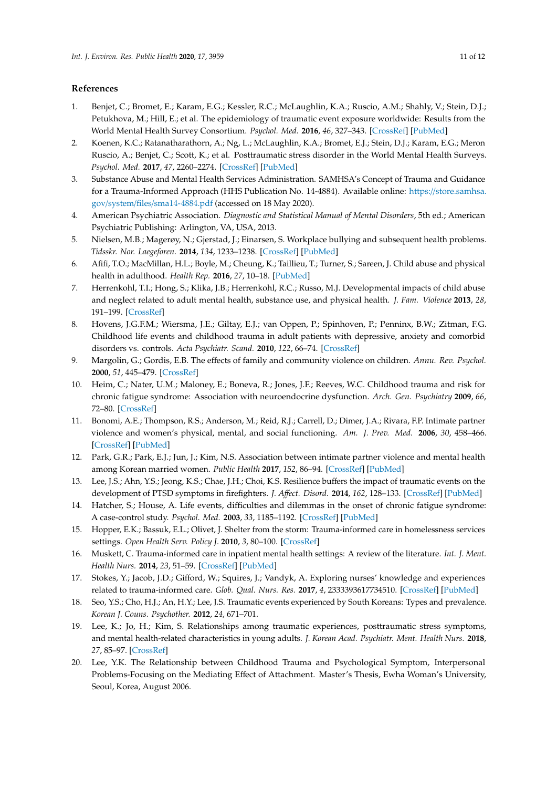# **References**

- <span id="page-10-0"></span>1. Benjet, C.; Bromet, E.; Karam, E.G.; Kessler, R.C.; McLaughlin, K.A.; Ruscio, A.M.; Shahly, V.; Stein, D.J.; Petukhova, M.; Hill, E.; et al. The epidemiology of traumatic event exposure worldwide: Results from the World Mental Health Survey Consortium. *Psychol. Med.* **2016**, *46*, 327–343. [\[CrossRef\]](http://dx.doi.org/10.1017/S0033291715001981) [\[PubMed\]](http://www.ncbi.nlm.nih.gov/pubmed/26511595)
- <span id="page-10-1"></span>2. Koenen, K.C.; Ratanatharathorn, A.; Ng, L.; McLaughlin, K.A.; Bromet, E.J.; Stein, D.J.; Karam, E.G.; Meron Ruscio, A.; Benjet, C.; Scott, K.; et al. Posttraumatic stress disorder in the World Mental Health Surveys. *Psychol. Med.* **2017**, *47*, 2260–2274. [\[CrossRef\]](http://dx.doi.org/10.1017/S0033291717000708) [\[PubMed\]](http://www.ncbi.nlm.nih.gov/pubmed/28385165)
- <span id="page-10-2"></span>3. Substance Abuse and Mental Health Services Administration. SAMHSA's Concept of Trauma and Guidance for a Trauma-Informed Approach (HHS Publication No. 14-4884). Available online: https://[store.samhsa.](https://store.samhsa.gov/system/files/sma14-4884.pdf) gov/system/files/[sma14-4884.pdf](https://store.samhsa.gov/system/files/sma14-4884.pdf) (accessed on 18 May 2020).
- <span id="page-10-3"></span>4. American Psychiatric Association. *Diagnostic and Statistical Manual of Mental Disorders*, 5th ed.; American Psychiatric Publishing: Arlington, VA, USA, 2013.
- <span id="page-10-4"></span>5. Nielsen, M.B.; Magerøy, N.; Gjerstad, J.; Einarsen, S. Workplace bullying and subsequent health problems. *Tidsskr. Nor. Laegeforen.* **2014**, *134*, 1233–1238. [\[CrossRef\]](http://dx.doi.org/10.4045/tidsskr.13.0880) [\[PubMed\]](http://www.ncbi.nlm.nih.gov/pubmed/24989201)
- <span id="page-10-5"></span>6. Afifi, T.O.; MacMillan, H.L.; Boyle, M.; Cheung, K.; Taillieu, T.; Turner, S.; Sareen, J. Child abuse and physical health in adulthood. *Health Rep.* **2016**, *27*, 10–18. [\[PubMed\]](http://www.ncbi.nlm.nih.gov/pubmed/26983007)
- <span id="page-10-7"></span>7. Herrenkohl, T.I.; Hong, S.; Klika, J.B.; Herrenkohl, R.C.; Russo, M.J. Developmental impacts of child abuse and neglect related to adult mental health, substance use, and physical health. *J. Fam. Violence* **2013**, *28*, 191–199. [\[CrossRef\]](http://dx.doi.org/10.1007/s10896-012-9474-9)
- <span id="page-10-8"></span>8. Hovens, J.G.F.M.; Wiersma, J.E.; Giltay, E.J.; van Oppen, P.; Spinhoven, P.; Penninx, B.W.; Zitman, F.G. Childhood life events and childhood trauma in adult patients with depressive, anxiety and comorbid disorders vs. controls. *Acta Psychiatr. Scand.* **2010**, *122*, 66–74. [\[CrossRef\]](http://dx.doi.org/10.1111/j.1600-0447.2009.01491.x)
- <span id="page-10-6"></span>9. Margolin, G.; Gordis, E.B. The effects of family and community violence on children. *Annu. Rev. Psychol.* **2000**, *51*, 445–479. [\[CrossRef\]](http://dx.doi.org/10.1146/annurev.psych.51.1.445)
- <span id="page-10-9"></span>10. Heim, C.; Nater, U.M.; Maloney, E.; Boneva, R.; Jones, J.F.; Reeves, W.C. Childhood trauma and risk for chronic fatigue syndrome: Association with neuroendocrine dysfunction. *Arch. Gen. Psychiatry* **2009**, *66*, 72–80. [\[CrossRef\]](http://dx.doi.org/10.1001/archgenpsychiatry.2008.508)
- <span id="page-10-10"></span>11. Bonomi, A.E.; Thompson, R.S.; Anderson, M.; Reid, R.J.; Carrell, D.; Dimer, J.A.; Rivara, F.P. Intimate partner violence and women's physical, mental, and social functioning. *Am. J. Prev. Med.* **2006**, *30*, 458–466. [\[CrossRef\]](http://dx.doi.org/10.1016/j.amepre.2006.01.015) [\[PubMed\]](http://www.ncbi.nlm.nih.gov/pubmed/16704938)
- <span id="page-10-11"></span>12. Park, G.R.; Park, E.J.; Jun, J.; Kim, N.S. Association between intimate partner violence and mental health among Korean married women. *Public Health* **2017**, *152*, 86–94. [\[CrossRef\]](http://dx.doi.org/10.1016/j.puhe.2017.07.023) [\[PubMed\]](http://www.ncbi.nlm.nih.gov/pubmed/28869852)
- <span id="page-10-12"></span>13. Lee, J.S.; Ahn, Y.S.; Jeong, K.S.; Chae, J.H.; Choi, K.S. Resilience buffers the impact of traumatic events on the development of PTSD symptoms in firefighters. *J. A*ff*ect. Disord.* **2014**, *162*, 128–133. [\[CrossRef\]](http://dx.doi.org/10.1016/j.jad.2014.02.031) [\[PubMed\]](http://www.ncbi.nlm.nih.gov/pubmed/24767017)
- <span id="page-10-13"></span>14. Hatcher, S.; House, A. Life events, difficulties and dilemmas in the onset of chronic fatigue syndrome: A case-control study. *Psychol. Med.* **2003**, *33*, 1185–1192. [\[CrossRef\]](http://dx.doi.org/10.1017/S0033291703008274) [\[PubMed\]](http://www.ncbi.nlm.nih.gov/pubmed/14580073)
- <span id="page-10-14"></span>15. Hopper, E.K.; Bassuk, E.L.; Olivet, J. Shelter from the storm: Trauma-informed care in homelessness services settings. *Open Health Serv. Policy J.* **2010**, *3*, 80–100. [\[CrossRef\]](http://dx.doi.org/10.2174/1874924001003020080)
- <span id="page-10-15"></span>16. Muskett, C. Trauma-informed care in inpatient mental health settings: A review of the literature. *Int. J. Ment. Health Nurs.* **2014**, *23*, 51–59. [\[CrossRef\]](http://dx.doi.org/10.1111/inm.12012) [\[PubMed\]](http://www.ncbi.nlm.nih.gov/pubmed/23363398)
- <span id="page-10-16"></span>17. Stokes, Y.; Jacob, J.D.; Gifford, W.; Squires, J.; Vandyk, A. Exploring nurses' knowledge and experiences related to trauma-informed care. *Glob. Qual. Nurs. Res.* **2017**, *4*, 2333393617734510. [\[CrossRef\]](http://dx.doi.org/10.1177/2333393617734510) [\[PubMed\]](http://www.ncbi.nlm.nih.gov/pubmed/29085862)
- <span id="page-10-17"></span>18. Seo, Y.S.; Cho, H.J.; An, H.Y.; Lee, J.S. Traumatic events experienced by South Koreans: Types and prevalence. *Korean J. Couns. Psychother.* **2012**, *24*, 671–701.
- <span id="page-10-18"></span>19. Lee, K.; Jo, H.; Kim, S. Relationships among traumatic experiences, posttraumatic stress symptoms, and mental health-related characteristics in young adults. *J. Korean Acad. Psychiatr. Ment. Health Nurs.* **2018**, *27*, 85–97. [\[CrossRef\]](http://dx.doi.org/10.12934/jkpmhn.2018.27.2.85)
- <span id="page-10-19"></span>20. Lee, Y.K. The Relationship between Childhood Trauma and Psychological Symptom, Interpersonal Problems-Focusing on the Mediating Effect of Attachment. Master's Thesis, Ewha Woman's University, Seoul, Korea, August 2006.